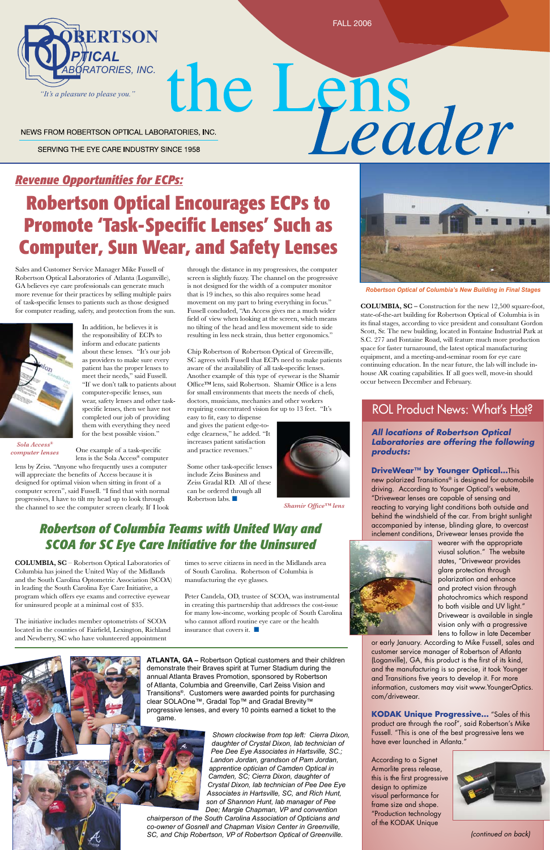FALL 2006

### *Revenue Opportunities for ECPs:*

# **Robertson Optical Encourages ECPs to Promote 'Task-Specific Lenses' Such as Computer, Sun Wear, and Safety Lenses**

Sales and Customer Service Manager Mike Fussell of Robertson Optical Laboratories of Atlanta (Loganville), GA believes eye care professionals can generate much more revenue for their practices by selling multiple pairs of task-specific lenses to patients such as those designed for computer reading, safety, and protection from the sun.



# the Lens<br>Leader NEWS FROM ROBERTSON OPTICAL LABORATORIES, INC. SERVING THE EYE CARE INDUSTRY SINCE 1958

In addition, he believes it is the responsibility of ECPs to inform and educate patients about these lenses. "It's our job as providers to make sure every patient has the proper lenses to meet their needs," said Fussell. "If we don't talk to patients about computer-specific lenses, sun wear, safety lenses and other taskspecific lenses, then we have not completed our job of providing them with everything they need for the best possible vision."

One example of a task-specific

lens is the Sola Access® computer lens by Zeiss. "Anyone who frequently uses a computer will appreciate the benefits of Access because it is designed for optimal vision when sitting in front of a computer screen", said Fussell. "I find that with normal progressives, I have to tilt my head up to look through the channel to see the computer screen clearly. If I look

Some other task-specific lenses include Zeiss Business and Zeiss Gradal RD. All of these can be ordered through all Robertson labs.  $\blacksquare$ 



*Shamir Office™ lens* and **b** reacting to var

### **Robertson of Columbia Teams with United Way and** *SCOA for SC Eye Care Initiative for the Uninsured* **Way** a

*(continued on back)*



ATLANTA, GA – Robertson Optical customers and their children demonstrate their Braves spirit at Turner Stadium during the **15 20 15 20** annual Atlanta Braves Promotion, sponsored by Robertson **400 500 600 700 5 10** of Atlanta, Columbia and Greenville, Carl Zeiss Vision and Transitions®. Customers were awarded points for purchasing clear SOLAOne™, Gradal Top™ and Gradal Brevity™ progressive lenses, and every 10 points earned a ticket to the game. **a** Braves Promotion, s

*Sola Access® computer lenses*

through the distance in my progressives, the computer screen is slightly fuzzy. The channel on the progressive is not designed for the width of a computer monitor that is 19 inches, so this also requires some head movement on my part to bring everything in focus." Fussell concluded, "An Access gives me a much wider field of view when looking at the screen, which means no tilting of the head and less movement side to side resulting in less neck strain, thus better ergonomics."

> **DriveWear™ by Younger Optical…**This new polarized Transitions® is designed for automobile driving. According to Younger Optical's website, "Drivewear lenses are capable of sensing and reacting to varying light conditions both outside and **behind the windshield of the car. From bright sunlight** accompanied by intense, blinding glare, to overcast | accon



Chip Robertson of Robertson Optical of Greenville, SC agrees with Fussell that ECPs need to make patients aware of the availability of all task-specific lenses. Another example of this type of eyewear is the Shamir Office™ lens, said Robertson. Shamir Office is a lens for small environments that meets the needs of chefs, doctors, musicians, mechanics and other workers requiring concentrated vision for up to 13 feet. "It's

easy to fit, easy to dispense and gives the patient edge-toedge clearness," he added. "It increases patient satisfaction and practice revenues."

> | inclement conditions, Drivewear lenses provide the wearer with the appropriate viusal solution." The website states, "Drivewear provides glare protection through polarization and enhance and protect vision through photochromics which respond to both visible and UV light." Drivewear is available in single vision only with a progressive lens to follow in late December or early January. According to Mike Fussell, sales and customer service manager of Robertson of Atlanta (Loganville), GA, this product is the first of its kind, and the manufacturing is so precise, it took Younger and Transitions five years to develop it. For more **400 500 600 700** information, customers may visit www.YoungerOptics. com/drivewear.

**COLUMBIA, SC** – Robertson Optical Laboratories of Columbia has joined the United Way of the Midlands and the South Carolina Optometric Association (SCOA) in leading the South Carolina Eye Care Initiative, a program which offers eye exams and corrective eyewear for uninsured people at a minimal cost of \$35.

The initiative includes member optometrists of SCOA

located in the counties of Fairfield, Lexington, Richland and Newberry, SC who have volunteered appointment

insurance that covers it.  $\Box$ 



times to serve citizens in need in the Midlands area of South Carolina. Robertson of Columbia is manufacturing the eye glasses.

Peter Candela, OD, trustee of SCOA, was instrumental in creating this partnership that addresses the cost-issue for many low-income, working people of South Carolina who cannot afford routine eye care or the health



*Robertson Optical of Columbia's New Building in Final Stages*

**COLUMBIA, SC –** Construction for the new 12,500 square-foot, state-of-the-art building for Robertson Optical of Columbia is in its final stages, according to vice president and consultant Gordon Scott, Sr. The new building, located in Fontaine Industrial Park at S.C. 277 and Fontaine Road, will feature much more production space for faster turnaround, the latest optical manufacturing equipment, and a meeting-and-seminar room for eye care continuing education. In the near future, the lab will include inhouse AR coating capabilities. If all goes well, move-in should occur between December and February.

## ROL Product News: What's Hot?

### *All locations of Robertson Optical Laboratories are offering the following products:*

**KODAK Unique Progressive…** "Sales of this product are through the roof", said Robertson's Mike Fussell. "This is one of the best progressive lens we have ever launched in Atlanta."

According to a Signet Armorlite press release, this is the first progressive design to optimize visual performance for frame size and shape. "Production technology of the KODAK Unique



*Shown clockwise from top left: Cierra Dixon, daughter of Crystal Dixon, lab technician of Pee Dee Eye Associates in Hartsville, SC.; Landon Jordan, grandson of Pam Jordan, apprentice optician of Camden Optical in Camden, SC; Cierra Dixon, daughter of Crystal Dixon, lab technician of Pee Dee Eye Associates in Hartsville, SC, and Rich Hunt, son of Shannon Hunt, lab manager of Pee Dee; Margie Chapman, VP and convention* 

*chairperson of the South Carolina Association of Opticians and co-owner of Gosnell and Chapman Vision Center in Greenville, SC, and Chip Robertson, VP of Robertson Optical of Greenville.*